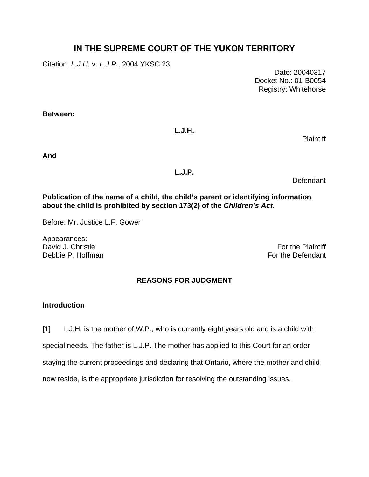# **IN THE SUPREME COURT OF THE YUKON TERRITORY**

Citation: *L.J.H.* v. *L.J.P.*, 2004 YKSC 23

 Date: 20040317 Docket No.: 01-B0054 Registry: Whitehorse

**Between:** 

## **L.J.H.**

Plaintiff

**And** 

## **L.J.P.**

Defendant

## **Publication of the name of a child, the child's parent or identifying information about the child is prohibited by section 173(2) of the** *Children's Act***.**

Before: Mr. Justice L.F. Gower

Appearances: David J. Christie **For the Plaintiff** Debbie P. Hoffman For the Defendant

## **REASONS FOR JUDGMENT**

## **Introduction**

[1] L.J.H. is the mother of W.P., who is currently eight years old and is a child with special needs. The father is L.J.P. The mother has applied to this Court for an order staying the current proceedings and declaring that Ontario, where the mother and child now reside, is the appropriate jurisdiction for resolving the outstanding issues.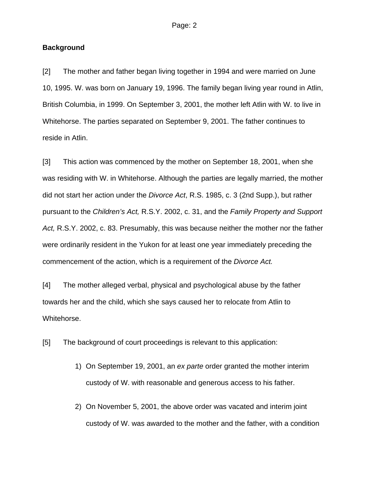#### **Background**

[2] The mother and father began living together in 1994 and were married on June 10, 1995. W. was born on January 19, 1996. The family began living year round in Atlin, British Columbia, in 1999. On September 3, 2001, the mother left Atlin with W. to live in Whitehorse. The parties separated on September 9, 2001. The father continues to reside in Atlin.

[3] This action was commenced by the mother on September 18, 2001, when she was residing with W. in Whitehorse. Although the parties are legally married, the mother did not start her action under the *Divorce Act*, R.S. 1985, c. 3 (2nd Supp.), but rather pursuant to the *Children's Act,* R.S.Y. 2002, c. 31, and the *Family Property and Support Act,* R.S.Y. 2002, c. 83. Presumably, this was because neither the mother nor the father were ordinarily resident in the Yukon for at least one year immediately preceding the commencement of the action, which is a requirement of the *Divorce Act.*

[4] The mother alleged verbal, physical and psychological abuse by the father towards her and the child, which she says caused her to relocate from Atlin to Whitehorse.

[5] The background of court proceedings is relevant to this application:

- 1) On September 19, 2001, an *ex parte* order granted the mother interim custody of W. with reasonable and generous access to his father.
- 2) On November 5, 2001, the above order was vacated and interim joint custody of W. was awarded to the mother and the father, with a condition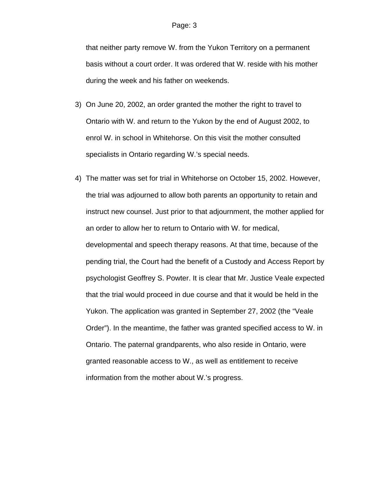that neither party remove W. from the Yukon Territory on a permanent basis without a court order. It was ordered that W. reside with his mother during the week and his father on weekends.

- 3) On June 20, 2002, an order granted the mother the right to travel to Ontario with W. and return to the Yukon by the end of August 2002, to enrol W. in school in Whitehorse. On this visit the mother consulted specialists in Ontario regarding W.'s special needs.
- 4) The matter was set for trial in Whitehorse on October 15, 2002. However, the trial was adjourned to allow both parents an opportunity to retain and instruct new counsel. Just prior to that adjournment, the mother applied for an order to allow her to return to Ontario with W. for medical, developmental and speech therapy reasons. At that time, because of the pending trial, the Court had the benefit of a Custody and Access Report by psychologist Geoffrey S. Powter. It is clear that Mr. Justice Veale expected that the trial would proceed in due course and that it would be held in the Yukon. The application was granted in September 27, 2002 (the "Veale Order"). In the meantime, the father was granted specified access to W. in Ontario. The paternal grandparents, who also reside in Ontario, were granted reasonable access to W., as well as entitlement to receive information from the mother about W.'s progress.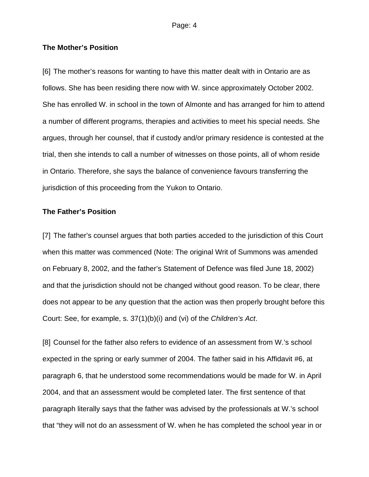#### **The Mother's Position**

[6] The mother's reasons for wanting to have this matter dealt with in Ontario are as follows. She has been residing there now with W. since approximately October 2002. She has enrolled W. in school in the town of Almonte and has arranged for him to attend a number of different programs, therapies and activities to meet his special needs. She argues, through her counsel, that if custody and/or primary residence is contested at the trial, then she intends to call a number of witnesses on those points, all of whom reside in Ontario. Therefore, she says the balance of convenience favours transferring the jurisdiction of this proceeding from the Yukon to Ontario.

#### **The Father's Position**

[7] The father's counsel argues that both parties acceded to the jurisdiction of this Court when this matter was commenced (Note: The original Writ of Summons was amended on February 8, 2002, and the father's Statement of Defence was filed June 18, 2002) and that the jurisdiction should not be changed without good reason. To be clear, there does not appear to be any question that the action was then properly brought before this Court: See, for example, s. 37(1)(b)(i) and (vi) of the *Children's Act*.

[8] Counsel for the father also refers to evidence of an assessment from W.'s school expected in the spring or early summer of 2004. The father said in his Affidavit #6, at paragraph 6, that he understood some recommendations would be made for W. in April 2004, and that an assessment would be completed later. The first sentence of that paragraph literally says that the father was advised by the professionals at W.'s school that "they will not do an assessment of W. when he has completed the school year in or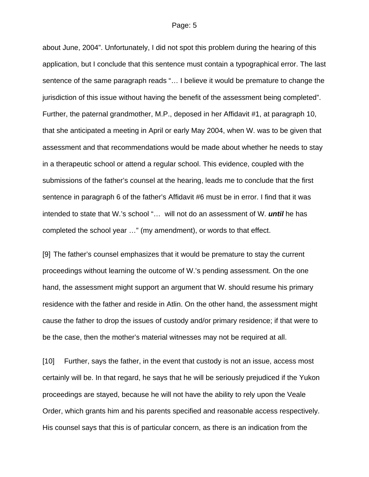#### Page: 5

about June, 2004". Unfortunately, I did not spot this problem during the hearing of this application, but I conclude that this sentence must contain a typographical error. The last sentence of the same paragraph reads "… I believe it would be premature to change the jurisdiction of this issue without having the benefit of the assessment being completed". Further, the paternal grandmother, M.P., deposed in her Affidavit #1, at paragraph 10, that she anticipated a meeting in April or early May 2004, when W. was to be given that assessment and that recommendations would be made about whether he needs to stay in a therapeutic school or attend a regular school. This evidence, coupled with the submissions of the father's counsel at the hearing, leads me to conclude that the first sentence in paragraph 6 of the father's Affidavit #6 must be in error. I find that it was intended to state that W.'s school "… will not do an assessment of W. *until* he has completed the school year …" (my amendment), or words to that effect.

[9] The father's counsel emphasizes that it would be premature to stay the current proceedings without learning the outcome of W.'s pending assessment. On the one hand, the assessment might support an argument that W. should resume his primary residence with the father and reside in Atlin. On the other hand, the assessment might cause the father to drop the issues of custody and/or primary residence; if that were to be the case, then the mother's material witnesses may not be required at all.

[10] Further, says the father, in the event that custody is not an issue, access most certainly will be. In that regard, he says that he will be seriously prejudiced if the Yukon proceedings are stayed, because he will not have the ability to rely upon the Veale Order, which grants him and his parents specified and reasonable access respectively. His counsel says that this is of particular concern, as there is an indication from the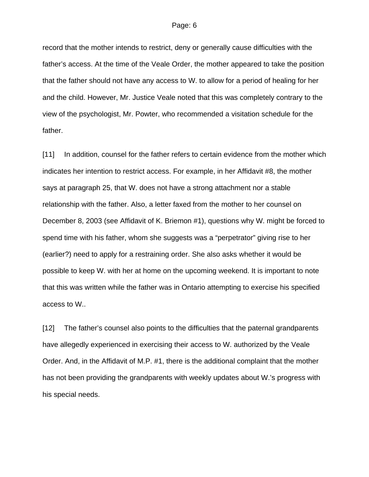record that the mother intends to restrict, deny or generally cause difficulties with the father's access. At the time of the Veale Order, the mother appeared to take the position that the father should not have any access to W. to allow for a period of healing for her and the child. However, Mr. Justice Veale noted that this was completely contrary to the view of the psychologist, Mr. Powter, who recommended a visitation schedule for the father.

[11] In addition, counsel for the father refers to certain evidence from the mother which indicates her intention to restrict access. For example, in her Affidavit #8, the mother says at paragraph 25, that W. does not have a strong attachment nor a stable relationship with the father. Also, a letter faxed from the mother to her counsel on December 8, 2003 (see Affidavit of K. Briemon #1), questions why W. might be forced to spend time with his father, whom she suggests was a "perpetrator" giving rise to her (earlier?) need to apply for a restraining order. She also asks whether it would be possible to keep W. with her at home on the upcoming weekend. It is important to note that this was written while the father was in Ontario attempting to exercise his specified access to W..

[12] The father's counsel also points to the difficulties that the paternal grandparents have allegedly experienced in exercising their access to W. authorized by the Veale Order. And, in the Affidavit of M.P. #1, there is the additional complaint that the mother has not been providing the grandparents with weekly updates about W.'s progress with his special needs.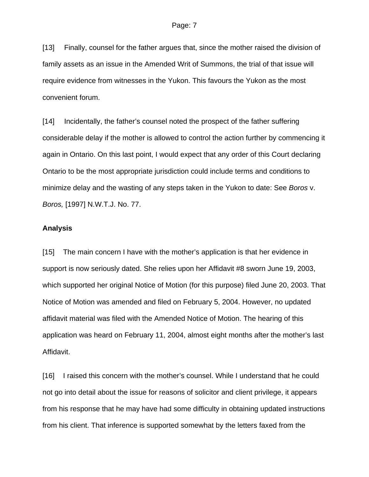[13] Finally, counsel for the father argues that, since the mother raised the division of family assets as an issue in the Amended Writ of Summons, the trial of that issue will require evidence from witnesses in the Yukon. This favours the Yukon as the most convenient forum.

[14] Incidentally, the father's counsel noted the prospect of the father suffering considerable delay if the mother is allowed to control the action further by commencing it again in Ontario. On this last point, I would expect that any order of this Court declaring Ontario to be the most appropriate jurisdiction could include terms and conditions to minimize delay and the wasting of any steps taken in the Yukon to date: See *Boros* v. *Boros,* [1997] N.W.T.J. No. 77.

### **Analysis**

[15] The main concern I have with the mother's application is that her evidence in support is now seriously dated. She relies upon her Affidavit #8 sworn June 19, 2003, which supported her original Notice of Motion (for this purpose) filed June 20, 2003. That Notice of Motion was amended and filed on February 5, 2004. However, no updated affidavit material was filed with the Amended Notice of Motion. The hearing of this application was heard on February 11, 2004, almost eight months after the mother's last Affidavit.

[16] I raised this concern with the mother's counsel. While I understand that he could not go into detail about the issue for reasons of solicitor and client privilege, it appears from his response that he may have had some difficulty in obtaining updated instructions from his client. That inference is supported somewhat by the letters faxed from the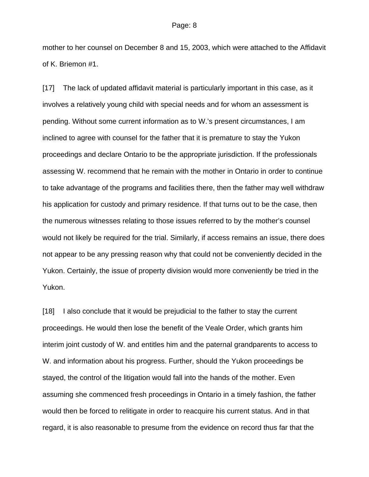mother to her counsel on December 8 and 15, 2003, which were attached to the Affidavit of K. Briemon #1.

[17] The lack of updated affidavit material is particularly important in this case, as it involves a relatively young child with special needs and for whom an assessment is pending. Without some current information as to W.'s present circumstances, I am inclined to agree with counsel for the father that it is premature to stay the Yukon proceedings and declare Ontario to be the appropriate jurisdiction. If the professionals assessing W. recommend that he remain with the mother in Ontario in order to continue to take advantage of the programs and facilities there, then the father may well withdraw his application for custody and primary residence. If that turns out to be the case, then the numerous witnesses relating to those issues referred to by the mother's counsel would not likely be required for the trial. Similarly, if access remains an issue, there does not appear to be any pressing reason why that could not be conveniently decided in the Yukon. Certainly, the issue of property division would more conveniently be tried in the Yukon.

[18] I also conclude that it would be prejudicial to the father to stay the current proceedings. He would then lose the benefit of the Veale Order, which grants him interim joint custody of W. and entitles him and the paternal grandparents to access to W. and information about his progress. Further, should the Yukon proceedings be stayed, the control of the litigation would fall into the hands of the mother. Even assuming she commenced fresh proceedings in Ontario in a timely fashion, the father would then be forced to relitigate in order to reacquire his current status. And in that regard, it is also reasonable to presume from the evidence on record thus far that the